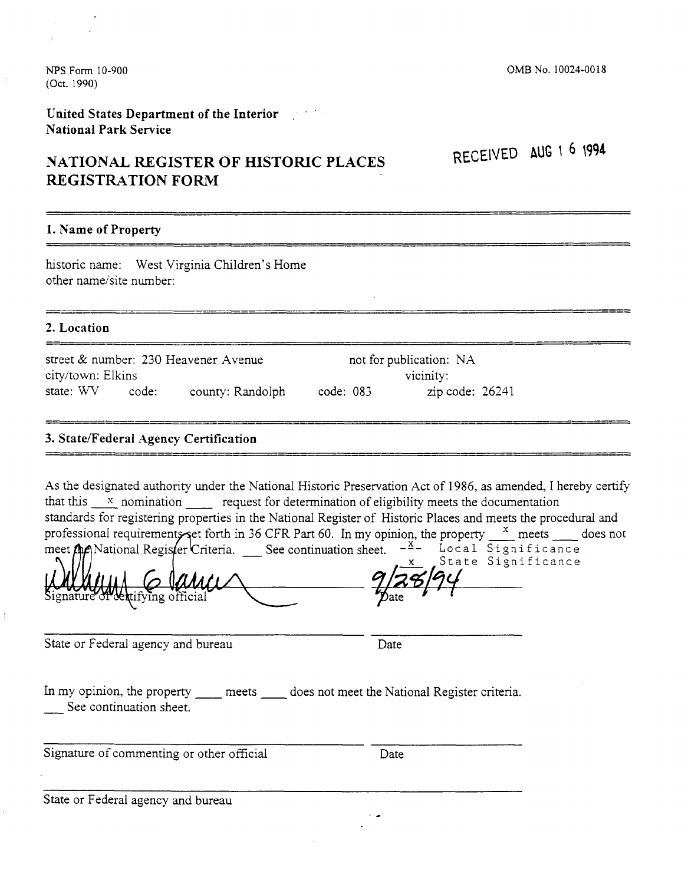NPS **Form** 10-900 (Oct. 1990)

# **United States Department of the Interior National Park Service**

# **NATIONAL REGISTER OF HISTORIC PLACES REGISTRATION FORM**

#### **1. Name of Property**

historic name: West Virginia Children's Home other name/site number:

#### **2. Location** -

| street $\&$ number: 230 Heavener Avenue |       |                  | not for publication: NA |                   |  |
|-----------------------------------------|-------|------------------|-------------------------|-------------------|--|
| city/town: Elkins                       |       |                  |                         | vicinity:         |  |
| state: WV                               | code: | county: Randolph | code: 083               | zip code: $26241$ |  |

## **3. State/Federal Agency Certification**

As the designated authority under the National Historic Preservation Act of 1986, as amended, I hereby certify that this  $\frac{x}{x}$  nomination  $\frac{y}{x}$  request for determination of eligibility meets the documentation standards for registering properties in the National Register of Historic Places and meets the procedural and professional requirements set forth in 36 CFR Part 60. In my opinion, the property  $\frac{x}{\text{length}}$  meets  $\frac{1}{\text{length}}$  does not meet  $\text{mod}$  Register Criteria. See continuation sheet.  $-\frac{x}{n}$  Local Significance meet  $\hat{\mu}$  National Register Criteria. See continuation sheet.  $-\frac{x^2-1}{x^2}$ State Significance

ing officia

State or Federal agency and bureau Date

State or Federal agency and bureau Date<br>In my opinion, the property \_\_\_\_\_ meets \_\_\_\_\_ does not meet the National Register criteria.<br>Level continuation sheet. In my opinion, the property<br>
See continuation sheet.

Signature of commenting or other official Date

 $\mathbb{E}_{\mathbf{z}}$ 

State or Federal agency and bureau

RECEIVED **AUG** 1 **6 1994**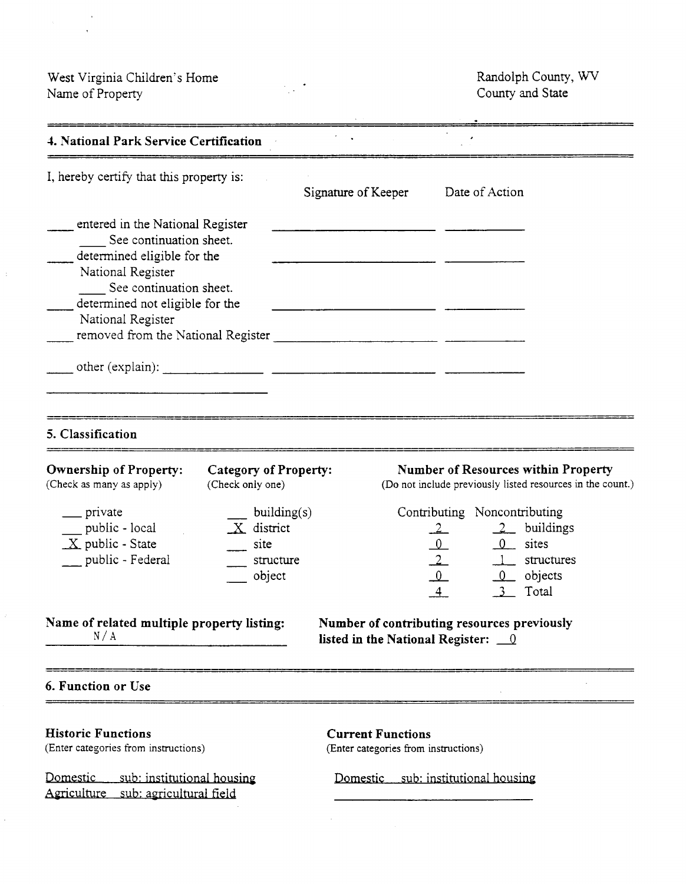West Virginia Children's Home Name of Property

 $\label{eq:2.1} \begin{split} \mathcal{L}_{\text{max}} &= \frac{1}{2} \mathcal{L} \mathcal{L} \mathcal{L} \mathcal{L} \mathcal{L} \mathcal{L} \mathcal{L} \mathcal{L} \mathcal{L} \mathcal{L} \mathcal{L} \mathcal{L} \mathcal{L} \mathcal{L} \mathcal{L} \mathcal{L} \mathcal{L} \mathcal{L} \mathcal{L} \mathcal{L} \mathcal{L} \mathcal{L} \mathcal{L} \mathcal{L} \mathcal{L} \mathcal{L} \mathcal{L} \mathcal{L} \mathcal{L} \mathcal{L} \mathcal{L} \$ 

 $\frac{1}{2}$ 

 $\hat{\mathcal{L}}$ 

 $\frac{1}{2}$ 

Randolph County, WV County and State

| 4. National Park Service Certification                                                                                                                                                                                                   |                                                                  |                                                                                                                                                                     |
|------------------------------------------------------------------------------------------------------------------------------------------------------------------------------------------------------------------------------------------|------------------------------------------------------------------|---------------------------------------------------------------------------------------------------------------------------------------------------------------------|
| I, hereby certify that this property is:                                                                                                                                                                                                 | Signature of Keeper                                              | Date of Action                                                                                                                                                      |
| entered in the National Register<br>See continuation sheet.<br>determined eligible for the<br>National Register<br>See continuation sheet.<br>determined not eligible for the<br>National Register<br>removed from the National Register | the control of the control of the control of                     |                                                                                                                                                                     |
|                                                                                                                                                                                                                                          |                                                                  |                                                                                                                                                                     |
| 5. Classification                                                                                                                                                                                                                        |                                                                  |                                                                                                                                                                     |
| <b>Ownership of Property:</b><br><b>Category of Property:</b><br>(Check as many as apply)<br>(Check only one)                                                                                                                            |                                                                  | <b>Number of Resources within Property</b><br>(Do not include previously listed resources in the count.)                                                            |
| private<br>building(s)<br>public - local<br>X district<br>$X$ public - State<br>site<br>public - Federal<br>structure<br>object                                                                                                          |                                                                  | Contributing Noncontributing<br>buildings<br>$\frac{2}{2}$<br>$\frac{0}{2}$<br>$\frac{0}{1}$ sites<br>1 structures<br>$\sqrt{0}$ objects<br>$\overline{4}$<br>Total |
| Name of related multiple property listing:<br>N/A                                                                                                                                                                                        | listed in the National Register: $\_\_0$                         | Number of contributing resources previously                                                                                                                         |
| 6. Function or Use                                                                                                                                                                                                                       |                                                                  |                                                                                                                                                                     |
| <b>Historic Functions</b><br>(Enter categories from instructions)                                                                                                                                                                        | <b>Current Functions</b><br>(Enter categories from instructions) |                                                                                                                                                                     |
| Domestic<br>sub: institutional housing<br>Agriculture sub: agricultural field                                                                                                                                                            | Domestic sub: institutional housing                              |                                                                                                                                                                     |

 $\frac{1}{2} \sum_{i=1}^{n} \frac{1}{2} \sum_{j=1}^{n} \frac{1}{2} \sum_{j=1}^{n} \frac{1}{2} \sum_{j=1}^{n} \frac{1}{2} \sum_{j=1}^{n} \frac{1}{2} \sum_{j=1}^{n} \frac{1}{2} \sum_{j=1}^{n} \frac{1}{2} \sum_{j=1}^{n} \frac{1}{2} \sum_{j=1}^{n} \frac{1}{2} \sum_{j=1}^{n} \frac{1}{2} \sum_{j=1}^{n} \frac{1}{2} \sum_{j=1}^{n} \frac{1}{2} \sum_{j=1}^{n$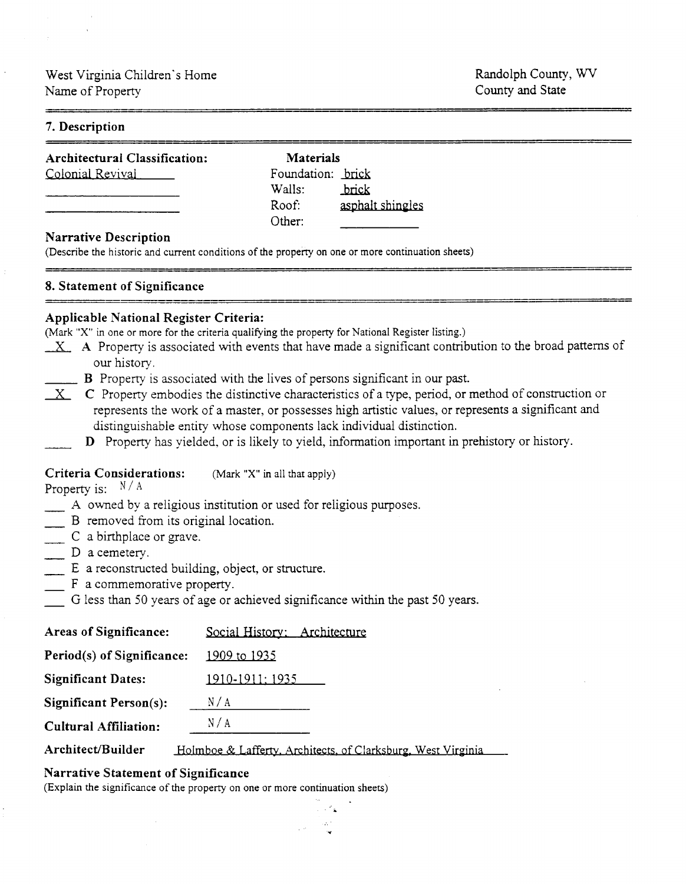## **7. Description**

| <b>Architectural Classification:</b> | <b>Materials</b>  |                  |
|--------------------------------------|-------------------|------------------|
| Colonial Revival                     | Foundation: brick |                  |
|                                      | Walls:            | brick            |
|                                      | Roof:             | asphalt shingles |
|                                      | Other:            |                  |
| <b>Narrative Description</b>         |                   |                  |

(Describe the historic and current conditions of the property on one or more continuation sheets)

#### **8. Statement of Significance**

## **Applicable National Register Criteria:**

(Mark "X" in one or more for the criteria qualifying the property for National Register listing.)

- $\mathbf{X}$  **A** Property is associated with events that have made a significant contribution to the broad patterns of our history.
	- $B$  Property is associated with the lives of persons significant in our past.
- **K** C Property embodies the distinctive characteristics of a type, period, or method of construction or represents the work of a master, or possesses high artistic values, or represents a significant and distinguishable entity whose components lack individual distinction.

**L** 

**D** Property has yielded, or is likely to yield, information important in prehistory or history.

# **Criteria Considerations:** (Mark "X" in all that apply) **Criteria Considerations:** (Mark "X" in a<br>Property is:  $N/A$ <br>- A owned by a religious institution or  $N = B$  removed from its original location.<br>C a birthplace or grave.

Property is:  $N/A$ 

- A owned by a religious institution or used for religious purposes. Property is:  $N/A$ <br>  $\longrightarrow$  A owned by a religious<br>  $\longrightarrow$  B removed from its orig<br>  $\longrightarrow$  C a birthplace or grave.<br>
D a cemetery.
- A owned by a<br>
B removed fro<br>
C a birthplace<br>
D a cemetery.<br>
E a reconstruct
- 
- 
- E a reconstructed building, object, or structure. F a commemorative property.
- 
- G less than *50* years of age or acheved significance within the past *50* years.

| <b>Areas of Significance:</b> | Social History: Architecture                                 |
|-------------------------------|--------------------------------------------------------------|
| Period(s) of Significance:    | 1909 to 1935                                                 |
| <b>Significant Dates:</b>     | 1910-1911: 1935                                              |
| <b>Significant Person(s):</b> | N/A                                                          |
| <b>Cultural Affiliation:</b>  | N/A                                                          |
| Architect/Builder             | Holmboe & Lafferty, Architects, of Clarksburg, West Virginia |

## **Narrative Statement of Significance**

(Explain the significance of the property on one or more continuation sheets)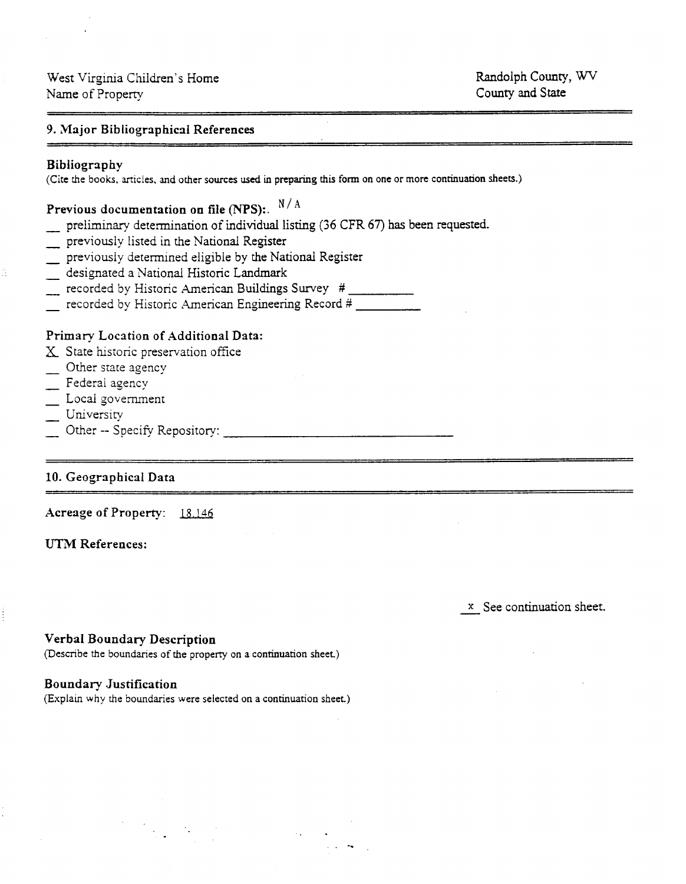# **9. Major Bibliographical References**

#### **Bibliography**

**(Cite the books. articles, and other sources used in preparing this form on one or more continuation sheets.)** 

**Previous documentation on file (NPS):. N/A** 

- preliminary determination of individual listing (36 CFR *67)* has been requested.
- previously listed in the National Register
- prefilminary determination of individual listing (56 CFR)<br>previously listed in the National Register<br>previously determined eligible by the National Register<br>designated a National Historic Landmark reviously listed in the National Register<br>
previously determined eligible by the National Historic Landmark<br>
recorded by Historic American Buildings
- 

previously determined eligible by the National Regis<br>
designated a National Historic Landmark<br>
recorded by Historic American Buildings Survey

designated a National Historic Landmark<br>Frecorded by Historic American Buildings Survey #<br>Frecorded by Historic American Engineering Record #

## **Primary Location of Additional Data:**

 $X$  State historic preservation office

- $\sum$  Other state agency
- Federal agency
- Other state agency<br>
 Federal agency<br>
 Local government<br>
 University - Federal age<br>
- Local gove<br>
- University<br>
- Other
- 
- University<br>
Other -- Specify Repository:

## **10. Geographical Data**

**Acreage of Property: 18.146** 

UTM References:

- **x** See continuation sheet.

## **Verbal Boundary Description**

**(Describe the boundaries of the propeny on a continuation sheet)** 

#### **Boundary Justification**

**(Explain why he boundaries were selected on a continuation sheet)** 

 $\sim$  .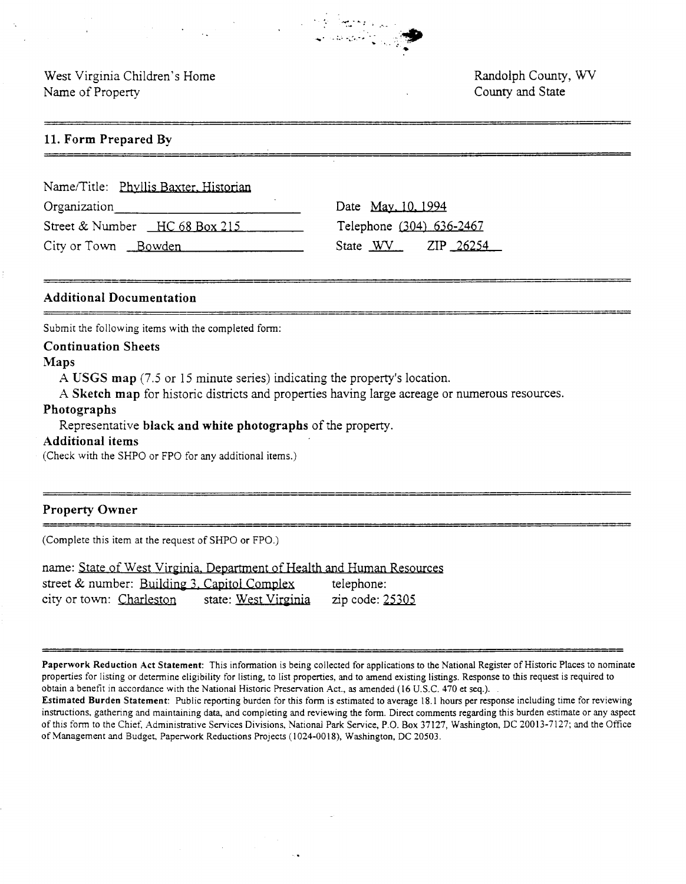West Virginia Children's Home Name of Property

Randolph County, WV County and State

#### **11. Form Prepared By**

| Name/Title: Phyllis Baxter, Historian  |  |
|----------------------------------------|--|
| Organization                           |  |
| Street & Number $\left[$ HC 68 Box 215 |  |
| $City or Town$ Bowden                  |  |

Date May. 10. 1994 Telephone (304) 636-2467 State WV ZIP 26254

to posterior a sus<br>Anciente etablico

#### **Additional Documentation**

Submit the following items with the completed form:

## **Continuation Sheets**

## **Maps**

**A USGS map** (7.5 or 15 minute series) indicating the property's location.

A **Sketch map** for historic districts and properties having large acreage or numerous resources.

## **Photographs**

Representative **black and white photographs** of the property.

#### **Additional items**

(Check with the SHPO or FPO for any additional items.)

#### **Property Owner**

(Complete this item at the request of SHPO or FPO.)

|                          | name: State of West Virginia, Department of Health and Human Resources |                 |
|--------------------------|------------------------------------------------------------------------|-----------------|
|                          | street & number: Building 3, Capitol Complex                           | telephone:      |
| city or town: Charleston | state: West Virginia                                                   | zip code: 25305 |

Paperwork Reduction Act Statement: This information is being collected for applications to the National Register of Historic Places to nominate properties for listing or determine eligibility for listing, to list properties, and to amend existing listings. Response to this request is required to obtain a benefit in accordance with the National Historic Preservation Act., as amended (I6 U.S.C. 470 et seq.).

Estimated Burden Statement: Public reporting burden for this form is estimated to average 18.1 hours per response including time for reviewing instructions, gathering and maintaining data, and completing and reviewing the form. Direct comments regarding this burden estimate or any aspect of this form to the Chief, Administrative Services Divisions. National Park Service, **P.O.** Box 37127, Washington, DC 20013-7127; and the Office of Management and Budget. Paperwork Reductions Projects (1024-0018), Washington, DC 20503.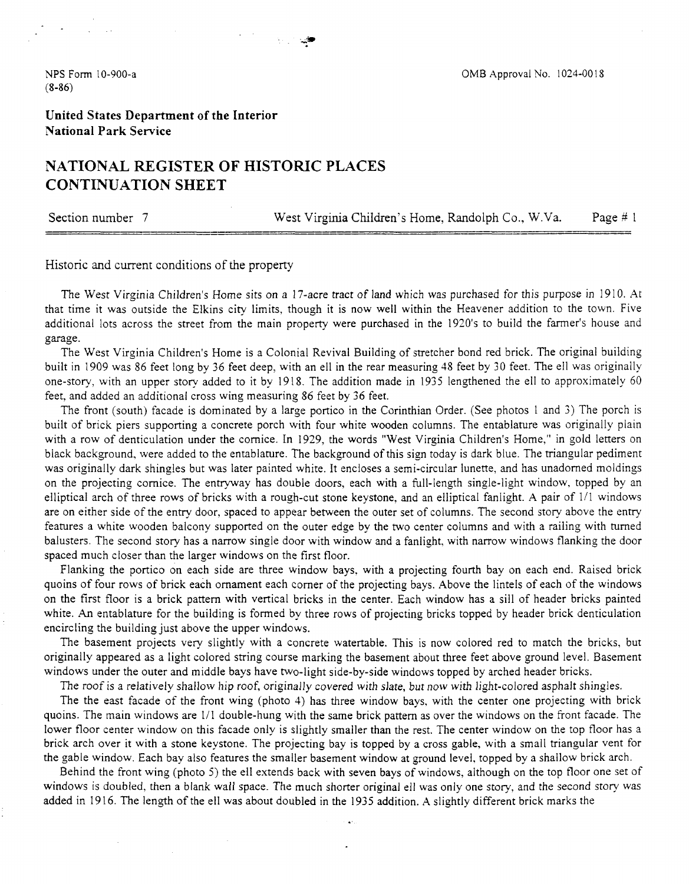OMB Approval No. 1024-00 18

NPS Form 10-900-a **(8-86)** 

**United States Department of the Interior National Park Service** 

# **NATIONAL REGISTER OF HISTORIC PLACES CONTINUATION SHEET**

Section number 7 West Virginia Children's Home, Randolph Co., W.Va. Page # 1

Historic and current conditions of the property

The West Virginia Children's Home sits on a 17-acre tract of land which was purchased for this purpose in 1910. At that time it was outside the Elkins city limits, though it is now well within the Heavener addition to the town. Five additional lots across the street from the main property were purchased in the 1920's to build the farmer's house and garage.

The West Virginia Children's Home is a Colonial Revival Building of stretcher bond red brick. The original building built in 1909 was 86 feet long by 36 feet deep, with an ell in the rear measuring 48 feet by 30 feet. The ell was originally one-story, with an upper story added to it by 1918. The addition made in 1935 lengthened the ell to approximately 60 feet, and added an additional cross wing measuring 86 feet by 36 feet.

The front (south) facade is dominated by a large portico in the Corinthian Order. (See photos 1 and 3) The porch is built of brick piers supporting a concrete porch with four white wooden columns. The entablature was originally plain with a row of denticulation under the cornice. In 1929, the words "West Virginia Children's Home," in gold letters on black background, were added to the entablature. The background of this sign today is dark blue. The triangular pediment was originally dark shingles but was later painted white. It encloses a semi-circular lunette, and has unadorned moldings on the projecting cornice. The entryway has double doors, each with a full-length single-light window, topped by an elliptical arch of three rows of bricks with a rough-cut stone keystone, and an elliptical fanlight. A pair of 1/1 windows are on either side of the entry door. spaced to appear between the outer set of columns. The second story above the entry features a white wooden balcony supported on the outer edge by the two center columns and with a railing with turned balusters. The second story has a narrow single door with window and a fanlight, with narrow windows flanking the door spaced much closer than the larger windows on the first floor.

Flanking the portico on each side are three window bays, with a projecting fourth bay on each end. Raised brick quoins of four rows of brick each ornament each corner of the projecting bays. Above the lintels of each of the windows on the first floor is a brick pattern with vertical bricks in the center. Each window has a sill of header bricks painted white. An entablature for the building is formed by three rows of projecting bricks topped by header brick denticulation encircling the building just above the upper windows.

The basement projects very slightly with a concrete watertable. This is now colored red to match the bricks, but originally appeared as a light colored string course marking the basement about three feet above ground level. Basement windows under the outer and middle bays have two-light side-by-side windows topped by arched header bricks.

The roof is a relatively shallow hip roof, originally covered with slate, but **now** with light-colored asphalt shingles.

The the east facade of the front wing (photo 4) has three window bays, with the center one projecting with brick quoins. The main windows are 1/1 double-hung with the same brick pattern as over the windows on the front facade. The lower floor center window on this facade only is slightly smaller than the rest. The center window on the top floor has a brick arch over it with a stone keystone. The projecting bay is topped by a cross gable, with a small triangular vent for the gable window. Each bay also features the smaller basement window at ground level, topped by a shallow brick arch.

Behind the front wing (photo *5)* the ell extends back with seven bays of windows, although on the top floor one set of windows is doubled, then a blank wall space. The much shorter original ell was only one story, and the second story was added in 1916. The length of the ell was about doubled in the 1935 addition. A slightly different brick marks the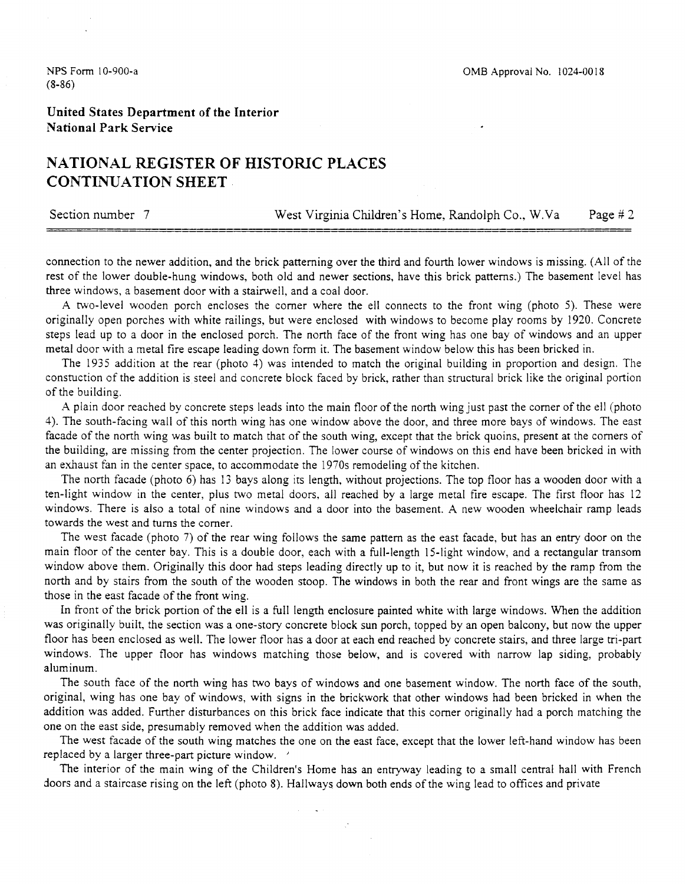**United States Department of the Interior National Park Service** 

# **NATIONAL REGISTER OF HISTORIC PLACES CONTINUATION SHEET**

| Section number 7 | West Virginia Children's Home, Randolph Co., W.Va | Page $#2$ |
|------------------|---------------------------------------------------|-----------|
|------------------|---------------------------------------------------|-----------|

connection to the newer addition, and the brick patterning over the third and fourth lower windows is missing. (All of the rest of the lower double-hung windows, both old and newer sections, have this brick patterns.) The basement level has three windows, a basement door with a stairwell, and a coal door.

A hvo-level wooden porch encloses the comer where the ell connects to the front wing (photo 5). These were originally open porches with white railings, but were enclosed with windows to become play rooms by 1920. Concrete steps lead up to a door in the enclosed porch. The north face of the front wing has one bay of windows and an upper metal door with a metal fire escape leading down form it. The basement window below this has been bricked in.

The 1935 addition at the rear (photo 4) was intended to match the original building in proportion and design. The constuction of the addition is steel and concrete block faced by brick, rather than structural brick like the original portion of the building.

A plain door reached by concrete steps leads into the main floor of the north wing just past the comer of the ell (photo 4). The south-facing wall of this north wing has one window above the door, and three more bays of windows. The east facade of the north wing was built to match that of the south wing, except that the brick quoins, present at the comers of the building, are missing from the center projection. The lower course of windows on this end have been bricked in with an exhaust fan in the center space, to accommodate the 1970s remodeling of the kitchen.

The north facade (photo 6) has 13 bays along its length, without projections. The top floor has a wooden door with a ten-light window in the center, plus two metal doors. all reached by a large metal fire escape. The first floor has 12 windows. There is also a total of nine windows and a door into the basement. A new wooden wheelchair ramp leads towards the west and turns the comer.

The west facade (photo 7) of the rear wing follows the same pattern as the east facade, but has an entry door on the main floor of the center bay. This is a double door, each with a full-length 15-light window, and a rectangular transom window above them. Originally this door had steps leading directly up to it, but now it is reached by the ramp from the north and by stairs from the south of the wooden stoop. The windows in both the rear and front wings are the same as those in the east facade of the front wing.

In front of the brick portion of the ell is a full length enclosure painted white with large windows. When the addition was originally built, the section was a one-story concrete block sun porch, topped by an open balcony, but now the upper floor has been enclosed as well. The lower floor has a door at each end reached by concrete stairs, and three large tri-part windows. The upper floor has windows matching those below, and is covered with narrow lap siding, probably aluminum.

The south face of the north wing has two bays of windows and one basement window. The north face of the south, original, wing has one bay of windows, with signs in the brickwork that other windows had been bricked in when the addition was added. Further disturbances on this brick face indicate that this comer originally had a porch matching the one on the east side, presumably removed when the addition was added.

The west facade of the south wing matches the one on the east face, except that the lower left-hand window has been replaced by a larger three-part picture window. '

The interior of the main wing of the Children's Home has an entryway leading to a small central hall with French doors and a staircase rising on the left (photo 8). Hallways down both ends of the wing lead to offices and private

 $\Delta\phi$  and  $\Delta\phi$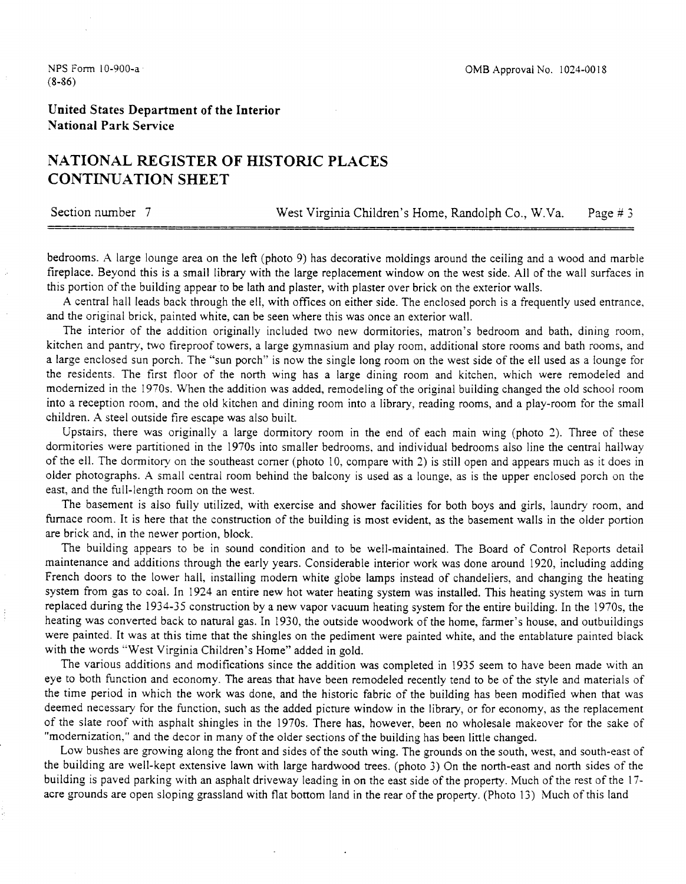**United States Department of the Interior National Park Service** 

# **NATIONAL REGISTER OF HISTORIC PLACES CONTINUATION SHEET**

Section number 7 West Virginia Children's Home, Randolph Co., W.Va. Page # 3

bedrooms. A large lounge area on the left (photo 9) has decorative moldings around the ceiling and a wood and marble fireplace. Beyond this is a small library with the large replacement window on the west side. All of the wall surfaces in this portion of the building appear to be lath and plaster, with plaster over brick on the exterior walls.

A central hall leads back through the ell, with offices on either side. The enclosed porch is a frequently used entrance, and the original brick, painted white, can be seen where this was once an exterior wall.

The interior of the addition originally included two new dormitories, matron's bedroom and bath, dining room, kitchen and pantry, two fireproof towers, a large gymnasium and play room, additional store rooms and bath rooms, and a large enclosed sun porch. The "sun porch" is now the single long room on the west side of the ell used as a lounge for the residents. The first floor of the north wing has a large dining room and kitchen, which were remodeled and modernized in the 1970s. When the addition was added, remodeling of the original building changed the old school room into a reception room, and the old kitchen and dining room into a library, reading rooms, and a play-room for the small children. A steel outside fire escape was also built.

Upstairs, there was originally a large dormitory room in the end of each main wing (photo *2).* Three of these dormitories were partitioned in the 1970s into smaller bedrooms, and individual bedrooms also line the central hallway of the ell. The dormitory on the southeast comer (photo 10, compare with 2) is still open and appears much as it does in older photographs. A small central room behind the balcony is used as a lounge, as is the upper enclosed porch on the east, and the full-length room on the west.

The basement is also fully utilized, with exercise and shower facilities for both boys and girls, laundry room, and furnace room. It is here that the construction of the building is most evident, as the basement walls in the older portion are brick and, in the newer portion, block.

The building appears to be in sound condition and to be well-maintained. The Board of Control Reports detail maintenance and additions through the early years. Considerable interior work was done around 1920, including adding French doors to the lower hall, installing modem white globe lamps instead of chandeliers, and changing the heating system from gas to coal. In 1924 an entire new hot water heating system was installed. This heating system was in turn replaced during the 1934-35 construction by a new vapor vacuum heating system for the entire building. In the 1970s, the heating was converted back to natural gas. In 1930, the outside woodwork of the home, farmer's house, and outbuildings were painted. It was at this time that the shingles on the pediment were painted white, and the entablature painted black with the words "West Virginia Children's Home" added in gold.

The various additions and modifications since the addition was completed in 1935 seem to have been made with an eye to both function and economy. The areas that have been remodeled recently tend to be of the style and materials of the time period in which the work was done, and the historic fabric of the building has been modified when that was deemed necessary for the function, such as the added picture window in the library, or for economy, as the replacement of the slate roof with asphalt shingles in the 1970s. There has, however, been no wholesale makeover for the sake of "modernization." and the decor in many of the older sections of the building has been little changed.

Low bushes are growing along the front and sides of the south wing. The grounds on the south, west, and south-east of the building are well-kept extensive lawn with large hardwood trees. (photo 3) On the north-east and north sides of the building is paved parking with an asphalt driveway leading in on the east side of the property. Much of the rest of the 17 acre grounds are open sloping grassland with flat bottom land in the rear of the property. (Photo 13) Much of this land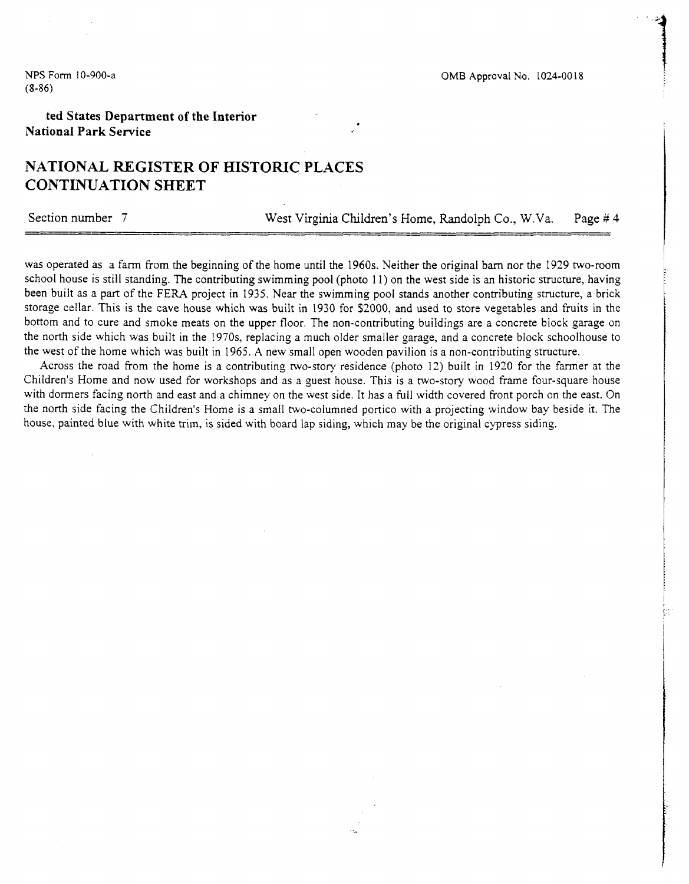**ted States Department of the Interior National Park Service** 

# **NATIONAL REGISTER OF HISTORIC PLACES CONTINUATION SHEET**

Section number 7 West Virginia Children's Home, Randolph Co., W.Va. Page # 4

was operated as a farm from the beginning of the home until the 1960s. Neither the original barn nor the 1929 Wo-room school house is still standing. The contributing swimming pool (photo 11) on the west side is an historic structure, having been built as a part of the FERA project in 1935. Near the swimming pool stands another contributing structure, a brick storage cellar. This is the cave house which was built in 1930 for \$2000, and used to store vegetables and fruits in the bottom and to cure and smoke meats on the upper floor. The non-contributing buildings are a concrete block garage on the north side which was built in the 1970s, replacing a much older smaller garage, and a concrete block schoolhouse to the west of the home which was built in 1965. A new small open wooden pavilion is a non-contributing structure.

Across the road from the home is a contributing two-story residence (photo 12) built in 1920 for the farmer at the Children's Home and now used for workshops and as a guest house. This is a two-story wood frame four-square house with dormers facing north and east and a chimney on the west side. It has a full width covered front porch on the east. On the north side facing the Children's Home is a small two-columned portico with a projecting window bay beside it. The house, painted blue with white trim, is sided with board lap siding, which may be the original cypress siding.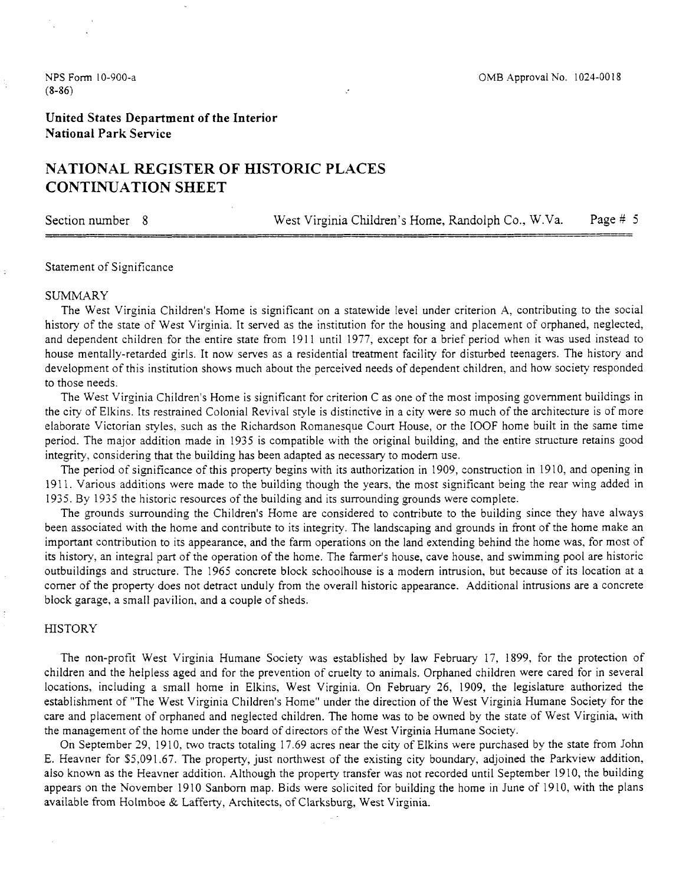# **United States Department of the Interior National Park Service**

# **NATIONAL REGISTER OF HISTORIC PLACES CONTINUATION SHEET**

Section number 8 West Virginia Children's Home, Randolph Co., W.Va. Page # **5** 

#### Statement of Significance

#### SUMMARY

The West Virginia Children's Home is significant on a statewide level under criterion A, contributing to the social history of the state of West Virginia. It served as the institution for the housing and placement of orphaned, neglected, and dependent children for the entire state from 1911 until 1977, except for a brief period when it was used instead to house mentally-retarded girls. It now serves as a residential treatment facility for disturbed teenagers. The history and development of this institution shows much about the perceived needs of dependent children, and how society responded to those needs.

The West Virginia Children's Home is significant for criterion C as one of the most imposing government buildings in the city of Elkins. Its restrained Colonial Revival style is distinctive in a city were so much of the architecture is of more elaborate Victorian styles. such as the Richardson Romanesque Court House, or the IOOF home built in the same time period. The major addition made in 1935 is compatible with the original building, and the entire structure retains good integrity, considering that the building has been adapted as necessary to modem use.

The period of significance of this property begins with its authorization in 1909, construction in 1910, and opening in 1911. Various additions were made to the building though the years, the most significant being the rear wing added in 1935. By 1935 the historic resources of the building and its surrounding grounds were complete.

The grounds surrounding the Children's Home are considered to contribute to the building since they have always been associated with the home and contribute to its integrity. The landscaping and grounds in front of the home make an important contribution to its appearance, and the farm operations on the land extending behind the home was, for most of its history, an integral part of the operation of the home. The farmer's house, cave house, and swimming pool are historic outbuildings and structure. The 1965 concrete block schoolhouse is a modem intrusion, but because of its location at a comer of the property does not detract unduly from the overall historic appearance. Additional intrusions are a concrete block garage, a small pavilion, and a couple of sheds.

#### **HISTORY**

The non-profit West Virginia Humane Society was established by law February 17, 1899, for the protection of children and the helpless aged and for the prevention of cruelty to animals. Orphaned children were cared for in several locations, including a small home in Elkins, West Virginia. On February 26, 1909, the legislature authorized the establishment of "The West Virginia Children's Home" under the direction of the West Virginia Humane Society for the care and placement of orphaned and neglected children. The home was to be owned by the state of West Virginia, with the management of the home under the board of directors of the West Virginia Humane Society.

On September 29, 1910, two tracts totaling 17.69 acres near the city of Elkins were purchased by the state from John E. Heavner for \$5,091.67. The property, just northwest of the existing city boundary, adjoined the Parkview addition, also known as the Heavner addition. Although the property transfer was not recorded until September 1910, the building appears on the November 1910 Sanbom map. Bids were solicited for building the home in June of 1910, with the plans available from Holmboe & Lafferty, Architects, of Clarksburg, West Virginia.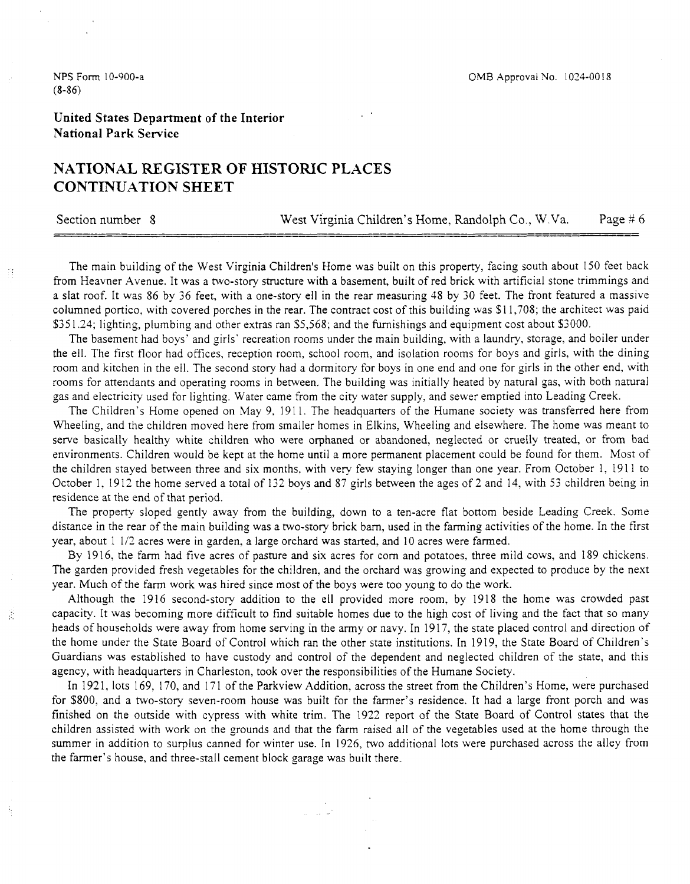**United States Department of the Interior National Park Service** 

# **NATIONAL REGISTER OF HISTORIC PLACES CONTINUATION SHEET**

Ğ.

Section number **3** West Virginia Children's Home, Randolph Co., W.Va. Page # 6

The main building of the West Virginia Children's Home was built on this property, facing south about 150 feet back from Heavner Avenue. It was a two-story structure with a basement, built of red brick with artificial stone trimmings and a slat roof. It was 86 by 36 feet, with a one-story ell in the rear measuring 48 by 30 feet. The front featured a massive columned portico, with covered porches in the rear. The contract cost of this building was \$1 1,708; the architect was paid \$35 1.24; lighting, plumbing and other extras ran \$5,568; and the furnishings and equipment cost about \$3000.

The basement had boys' and girls' recreation rooms under the main building, with a laundry, storage, and boiler under the ell. The first floor had offices, reception room, school room, and isolation rooms for boys and girls, with the dining room and kitchen in the ell. The second story had a dormitory for boys in one end and one for girls in the other end, with rooms for attendants and operating rooms in between. The building was initially heated by natural gas, with both natural gas and electricity used for lighting. Water came from the city water supply, and sewer emptied into Leading Creek.

The Children's Home opened on May 9, 1911. The headquarters of the Humane society was transferred here from Wheeling, and the children moved here from smaller homes in Elkins, Wheeling and elsewhere. The home was meant to serve basically healthy white children who were orphaned or abandoned, neglected or cruelly treated, or from bad environments. Children would be kept at the home until a more permanent placement could be found for them. Most of the children stayed between three and six months, with very few staying longer than one year. From October 1, 191 1 to October 1, 1912 the home served a total of 132 boys and 87 girls between the ages of 2 and 14, with 53 children being in residence at the end of that period.

The property sloped gently away from the building, down to a ten-acre flat bottom beside Leading Creek. Some distance in the rear of the main building was a two-story brick barn, used in the farming activities of the home. In the first year, about 1 1/2 acres were in garden, a large orchard was started, and 10 acres were farmed.

By 1916, the farm had five acres of pasture and six acres for corn and potatoes, three mild cows, and 189 chickens. The garden provided fresh vegetables for the children, and the orchard was growing and expected to produce by the next year. Much of the farm work was hired since most of the boys were too young to do the work.

Although the 1916 second-story addition to the ell provided more room, by 1918 the home was crowded past capacity. It was becoming more difficult to find suitable homes due to the high cost of living and the fact that so many heads of households were away from home serving in the army or navy. In 1917, the state placed control and direction of the home under the State Board of Control which ran the other state institutions. In 1919, the State Board of Children's Guardians was established to have custody and control of the dependent and neglected children of the state, and this agency, with headquarters in Charleston, took over the responsibilities of the Humane Society.

In 1921, lots 169, 170, and 171 of the Parkview Addition, across the street from the Children's Home, were purchased for \$800, and a two-story seven-room house was built for the farmer's residence. It had a large front porch and was finished on the outside with cypress with white trim. The 1922 report of the State Board of Control states that the children assisted with work on the grounds and that the farm raised all of the vegetables used at the home through the summer in addition to surplus canned for winter use. In 1926, two additional lots were purchased across the alley from the farmer's house, and three-stall cement block garage was built there.

 $\Delta \sim 10^6$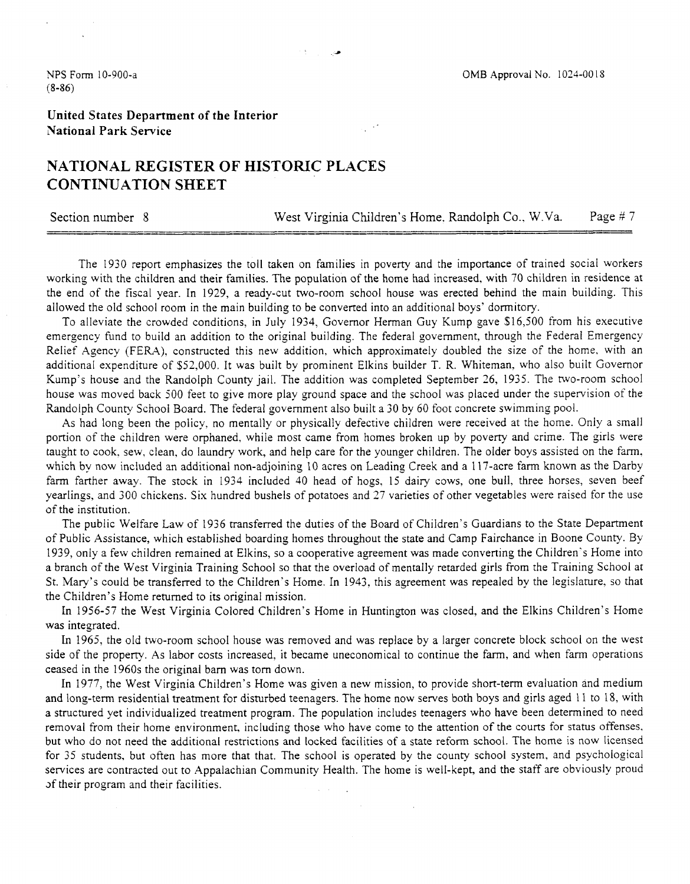**United States Department of the Interior National Park Service** 

# **NATIONAL REGISTER OF HISTORIC PLACES CONTINUATION SHEET**

Section number 8 West Virginia Children's Home. Randolph Co., W.Va. Page # 7

The 1930 report emphasizes the toll taken on families in poverty and the importance of trained social workers working with the children and their families. The population of the home had increased, with 70 children in residence at the end of the fiscal year. In 1929, a ready-cut two-room school house was erected behind the main building. This allowed the old school room in the main building to be converted into an additional boys' dormitory.

To alleviate the crowded conditions, in July 1934, Governor Herman Guy Kump gave \$16,500 from his executive emergency fund to build an addition to the original building. The federal government, through the Federal Emergency Relief Agency (FERA), constructed this new addition, which approximately doubled the size of the home, with an additional expenditure of \$52,000. It was built by prominent Elkins builder T. R. Whiteman. who also built Governor Kump's house and the Randolph County jail. The addition was completed September 26, 1935. The Wo-room school house was moved back 500 feet to give more play ground space and the school was placed under the supervision of the Randolph County School Board. The federal government also built a 30 by 60 foot concrete swimming pool.

As had long been the policy, no mentally or physically defective children were received at the home. Only a small portion of the children were orphaned, while most came from homes broken up by poverty and crime. The girls were taught to cook. sew, clean. do laundry work, and help care for the younger children. The older boys assisted on the farm, which by now included an additional non-adjoining 10 acres on Leading Creek and a 117-acre farm known as the Darby farm farther away. The stock in 1934 included 40 head of hogs, 15 dairy cows, one bull, three horses, seven beef yearlings, and 300 chickens. Six hundred bushels of potatoes and 27 varieties of other vegetables were raised for the use of the institution.

The public Welfare Law of 1936 transferred the duties of the Board of Children's Guardians to the State Department of Public Assistance, which established boarding homes throughout the state and Camp Fairchance in Boone County. By 1939, only a few children remained at Elkins, so a cooperative agreement was made converting the Children's Home into a branch of the West Virginia Training Schooi so that the overload of mentally retarded girls from the Training School at St. Mary's could be transferred to the Children's Home. In 1943, this agreement was repealed by the legislature, so that the Children's Home returned to its original mission.

In 1956-57 the West Virginia Colored Children's Home in Huntington was closed, and the Elkins Children's Home was integrated.

In 1965, the old two-room school house was removed and was replace by a larger concrete block school on the west side of the property. As labor costs increased, it became uneconomical to continue the farm, and when farm operations ceased in the 1960s the original barn was tom down.

In 1977, the West Virginia Children's Home was given a new mission, to provide short-term evaluation and medium and long-term residential treatment for disturbed teenagers. The home now serves both boys and girls aged 11 to 18, with a structured yet individualized treatment program. The population includes teenagers who have been determined to need removal from their home environment, including those who have come to the attention of the courts for status offenses, but who do not need the additional restrictions and locked facilities of a state reform school. The home is now licensed for 35 students, but often has more that that. The school is operated by the county school system, and psychological services are contracted out to Appalachian Community Health. The home is well-kept, and the staff are obviously proud of their program and their facilities.